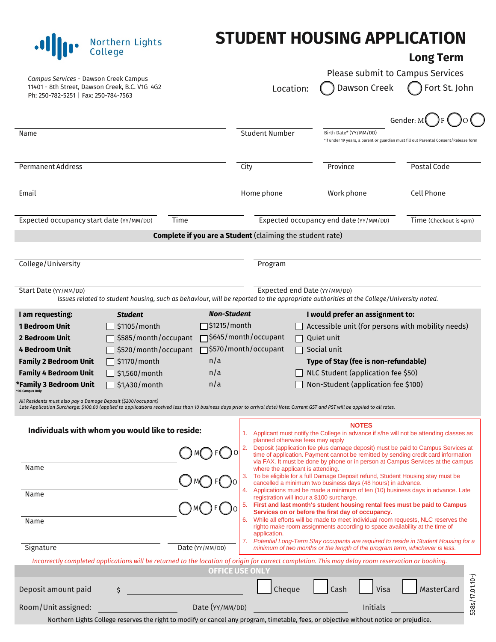## **STUDENT HOUSING APPLICATION**

## **Long Term**

| Campus Services - Dawson Creek Campus<br>11401 - 8th Street, Dawson Creek, B.C. V1G 4G2<br>Ph: 250-782-5251   Fax: 250-784-7563                                                                                                                                                                                                                                                                                                                                                                                                                                                 | Location:                                                                                                                                                   | Please submit to Campus Services<br>Dawson Creek                                                                                                                                                                                                                                                                                                                                                                                                                                                                                                                                                                                                                                                                                                                                                                                                                                                                                                                                                                                                                                    | Fort St. John                                                                        |
|---------------------------------------------------------------------------------------------------------------------------------------------------------------------------------------------------------------------------------------------------------------------------------------------------------------------------------------------------------------------------------------------------------------------------------------------------------------------------------------------------------------------------------------------------------------------------------|-------------------------------------------------------------------------------------------------------------------------------------------------------------|-------------------------------------------------------------------------------------------------------------------------------------------------------------------------------------------------------------------------------------------------------------------------------------------------------------------------------------------------------------------------------------------------------------------------------------------------------------------------------------------------------------------------------------------------------------------------------------------------------------------------------------------------------------------------------------------------------------------------------------------------------------------------------------------------------------------------------------------------------------------------------------------------------------------------------------------------------------------------------------------------------------------------------------------------------------------------------------|--------------------------------------------------------------------------------------|
|                                                                                                                                                                                                                                                                                                                                                                                                                                                                                                                                                                                 |                                                                                                                                                             |                                                                                                                                                                                                                                                                                                                                                                                                                                                                                                                                                                                                                                                                                                                                                                                                                                                                                                                                                                                                                                                                                     | Gender: M                                                                            |
| Name                                                                                                                                                                                                                                                                                                                                                                                                                                                                                                                                                                            | <b>Student Number</b>                                                                                                                                       | Birth Date* (YY/MM/DD)                                                                                                                                                                                                                                                                                                                                                                                                                                                                                                                                                                                                                                                                                                                                                                                                                                                                                                                                                                                                                                                              | *if under 19 years, a parent or guardian must fill out Parental Consent/Release form |
| <b>Permanent Address</b>                                                                                                                                                                                                                                                                                                                                                                                                                                                                                                                                                        | City                                                                                                                                                        | Province                                                                                                                                                                                                                                                                                                                                                                                                                                                                                                                                                                                                                                                                                                                                                                                                                                                                                                                                                                                                                                                                            | Postal Code                                                                          |
| Email                                                                                                                                                                                                                                                                                                                                                                                                                                                                                                                                                                           | Home phone                                                                                                                                                  | Work phone                                                                                                                                                                                                                                                                                                                                                                                                                                                                                                                                                                                                                                                                                                                                                                                                                                                                                                                                                                                                                                                                          | <b>Cell Phone</b>                                                                    |
| Expected occupancy start date (YY/MM/DD)<br>Time                                                                                                                                                                                                                                                                                                                                                                                                                                                                                                                                |                                                                                                                                                             | Expected occupancy end date (YY/MM/DD)                                                                                                                                                                                                                                                                                                                                                                                                                                                                                                                                                                                                                                                                                                                                                                                                                                                                                                                                                                                                                                              | Time (Checkout is 4pm)                                                               |
|                                                                                                                                                                                                                                                                                                                                                                                                                                                                                                                                                                                 | Complete if you are a Student (claiming the student rate)                                                                                                   |                                                                                                                                                                                                                                                                                                                                                                                                                                                                                                                                                                                                                                                                                                                                                                                                                                                                                                                                                                                                                                                                                     |                                                                                      |
| College/University                                                                                                                                                                                                                                                                                                                                                                                                                                                                                                                                                              | Program                                                                                                                                                     |                                                                                                                                                                                                                                                                                                                                                                                                                                                                                                                                                                                                                                                                                                                                                                                                                                                                                                                                                                                                                                                                                     |                                                                                      |
| Start Date (YY/MM/DD)<br>Issues related to student housing, such as behaviour, will be reported to the appropriate authorities at the College/University noted.                                                                                                                                                                                                                                                                                                                                                                                                                 | Expected end Date (YY/MM/DD)                                                                                                                                |                                                                                                                                                                                                                                                                                                                                                                                                                                                                                                                                                                                                                                                                                                                                                                                                                                                                                                                                                                                                                                                                                     |                                                                                      |
| <b>1 Bedroom Unit</b><br>\$1105/month<br>\$585/month/occupant<br><b>2 Bedroom Unit</b><br>\$520/month/occupant<br>4 Bedroom Unit<br>n/a<br><b>Family 2 Bedroom Unit</b><br>\$1170/month<br><b>Family 4 Bedroom Unit</b><br>\$1,560/month<br>n/a<br>n/a<br>*Family 3 Bedroom Unit<br>\$1,430/month<br><b>DC Campus Only</b><br>All Residents must also pay a Damage Deposit (\$200/occupant)<br>Late Application Surcharge: \$100.00 (applied to applications received less than 10 business days prior to arrival date) Note: Current GST and PST will be applied to all rates. | $\Box$ \$1215/month<br>□ \$645/month/occupant<br>□ \$570/month/occupant                                                                                     | Accessible unit (for persons with mobility needs)<br>Quiet unit<br>Social unit<br>Type of Stay (fee is non-refundable)<br>NLC Student (application fee \$50)<br>Non-Student (application fee \$100)                                                                                                                                                                                                                                                                                                                                                                                                                                                                                                                                                                                                                                                                                                                                                                                                                                                                                 |                                                                                      |
| Individuals with whom you would like to reside:<br>MOFC<br>Name<br>Name<br>Name<br>Signature<br>Date (YY/MM/DD)<br>Incorrectly completed applications will be returned to the location of origin for correct completion. This may delay room reservation or booking.                                                                                                                                                                                                                                                                                                            | planned otherwise fees may apply<br>where the applicant is attending.<br>4.<br>registration will incur a \$100 surcharge.<br>5.<br>6.<br>application.<br>7. | <b>NOTES</b><br>1. Applicant must notify the College in advance if s/he will not be attending classes as<br>Deposit (application fee plus damage deposit) must be paid to Campus Services at<br>time of application. Payment cannot be remitted by sending credit card information<br>via FAX. It must be done by phone or in person at Campus Services at the campus<br>To be eligible for a full Damage Deposit refund, Student Housing stay must be<br>cancelled a minimum two business days (48 hours) in advance.<br>Applications must be made a minimum of ten (10) business days in advance. Late<br>First and last month's student housing rental fees must be paid to Campus<br>Services on or before the first day of occupancy.<br>While all efforts will be made to meet individual room requests, NLC reserves the<br>righto make room assignments according to space availability at the time of<br>Potential Long-Term Stay occupants are required to reside in Student Housing for a<br>minimum of two months or the length of the program term, whichever is less. |                                                                                      |
| Deposit amount paid<br>\$                                                                                                                                                                                                                                                                                                                                                                                                                                                                                                                                                       | <b>OFFICE USE ONLY</b><br>Cheque                                                                                                                            | Visa<br>Cash                                                                                                                                                                                                                                                                                                                                                                                                                                                                                                                                                                                                                                                                                                                                                                                                                                                                                                                                                                                                                                                                        | MasterCard                                                                           |
| Room/Unit assigned:                                                                                                                                                                                                                                                                                                                                                                                                                                                                                                                                                             | Date (YY/MM/DD)                                                                                                                                             | Initials                                                                                                                                                                                                                                                                                                                                                                                                                                                                                                                                                                                                                                                                                                                                                                                                                                                                                                                                                                                                                                                                            | 538s/17.01.10-j                                                                      |

.**I** *II* **I I College** 

Northern Lights College reserves the right to modify or cancel any program, timetable, fees, or objective without notice or prejudice.